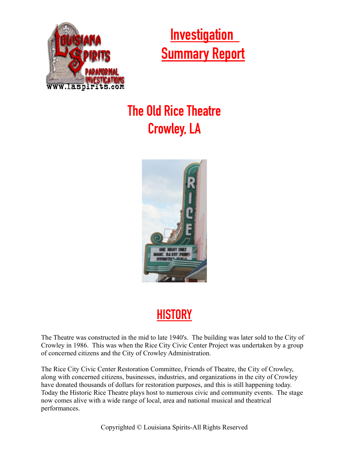

 **Investigation Summary Report**

## **The Old Rice Theatre Crowley, LA**



## **HISTORY**

The Theatre was constructed in the mid to late 1940's. The building was later sold to the City of Crowley in 1986. This was when the Rice City Civic Center Project was undertaken by a group of concerned citizens and the City of Crowley Administration.

The Rice City Civic Center Restoration Committee, Friends of Theatre, the City of Crowley, along with concerned citizens, businesses, industries, and organizations in the city of Crowley have donated thousands of dollars for restoration purposes, and this is still happening today. Today the Historic Rice Theatre plays host to numerous civic and community events. The stage now comes alive with a wide range of local, area and national musical and theatrical performances.

Copyrighted © Louisiana Spirits-All Rights Reserved